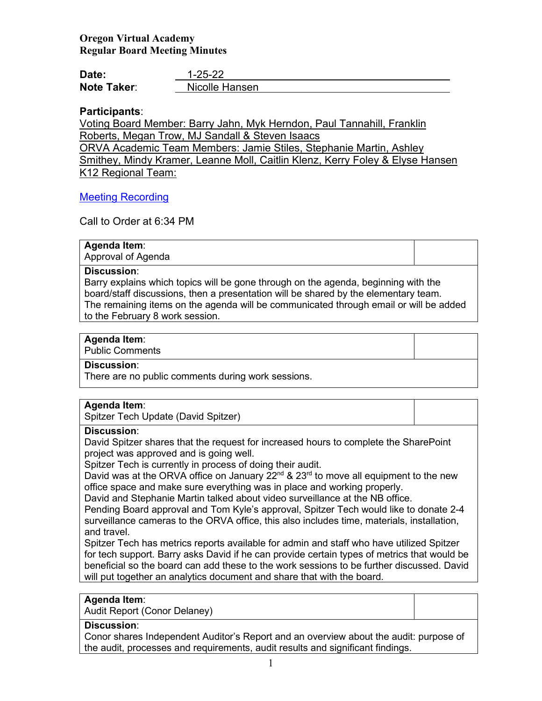# **Oregon Virtual Academy Regular Board Meeting Minutes**

| Date:              | $1 - 25 - 22$  |
|--------------------|----------------|
| <b>Note Taker:</b> | Nicolle Hansen |

# **Participants**:

Voting Board Member: Barry Jahn, Myk Herndon, Paul Tannahill, Franklin Roberts, Megan Trow, MJ Sandall & Steven Isaacs ORVA Academic Team Members: Jamie Stiles, Stephanie Martin, Ashley Smithey, Mindy Kramer, Leanne Moll, Caitlin Klenz, Kerry Foley & Elyse Hansen

K12 Regional Team:

## [Meeting Recording](https://us02web.zoom.us/rec/share/Cdky2z036VSZIu6i-Rdbq3JOu5hAlai-Sr1kpXHtMKOKdaldaQlQBeHXHlx5hJiw.ogdnvf6CVXYb-aOL?startTime=1643163568000)

Call to Order at 6:34 PM

#### **Agenda Item**:

Approval of Agenda

#### **Discussion**:

Barry explains which topics will be gone through on the agenda, beginning with the board/staff discussions, then a presentation will be shared by the elementary team. The remaining items on the agenda will be communicated through email or will be added to the February 8 work session.

#### **Agenda Item**:

Public Comments

#### **Discussion**:

There are no public comments during work sessions.

## **Agenda Item**:

Spitzer Tech Update (David Spitzer)

#### **Discussion**:

David Spitzer shares that the request for increased hours to complete the SharePoint project was approved and is going well.

Spitzer Tech is currently in process of doing their audit.

David was at the ORVA office on January  $22^{nd}$  &  $23^{rd}$  to move all equipment to the new office space and make sure everything was in place and working properly.

David and Stephanie Martin talked about video surveillance at the NB office.

Pending Board approval and Tom Kyle's approval, Spitzer Tech would like to donate 2-4 surveillance cameras to the ORVA office, this also includes time, materials, installation, and travel.

Spitzer Tech has metrics reports available for admin and staff who have utilized Spitzer for tech support. Barry asks David if he can provide certain types of metrics that would be beneficial so the board can add these to the work sessions to be further discussed. David will put together an analytics document and share that with the board.

#### **Agenda Item**:

Audit Report (Conor Delaney)

#### **Discussion**:

Conor shares Independent Auditor's Report and an overview about the audit: purpose of the audit, processes and requirements, audit results and significant findings.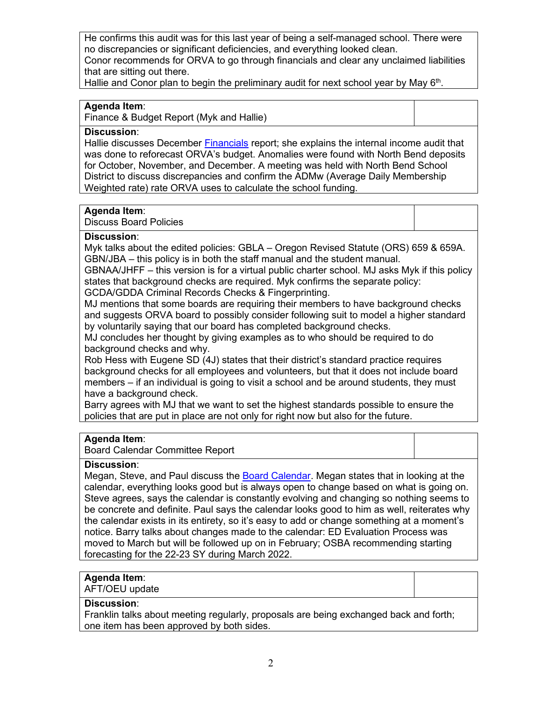He confirms this audit was for this last year of being a self-managed school. There were no discrepancies or significant deficiencies, and everything looked clean. Conor recommends for ORVA to go through financials and clear any unclaimed liabilities

that are sitting out there.

Hallie and Conor plan to begin the preliminary audit for next school year by May 6<sup>th</sup>.

## **Agenda Item**:

Finance & Budget Report (Myk and Hallie)

#### **Discussion**:

Hallie discusses December [Financials](https://k12inc-my.sharepoint.com/:p:/r/personal/twick_oregonva_org/Documents/Accounts%20Payable%20Specialist/Documents/Misc/ORVA%20Board/Board%20Packets%2021-22/7-January%202022/Regular%20Board%20Meeting%201-25-22/ORVA%20FY22%20Dec%20YTD%20Fin.pptx?d=w41893408f44249afbf51b7115e5bb39b&csf=1&web=1&e=1w4rvE) report; she explains the internal income audit that was done to reforecast ORVA's budget. Anomalies were found with North Bend deposits for October, November, and December. A meeting was held with North Bend School District to discuss discrepancies and confirm the ADMw (Average Daily Membership Weighted rate) rate ORVA uses to calculate the school funding.

## **Agenda Item**:

Discuss Board Policies

## **Discussion**:

Myk talks about the edited policies: GBLA – Oregon Revised Statute (ORS) 659 & 659A. GBN/JBA – this policy is in both the staff manual and the student manual.

GBNAA/JHFF – this version is for a virtual public charter school. MJ asks Myk if this policy states that background checks are required. Myk confirms the separate policy:

GCDA/GDDA Criminal Records Checks & Fingerprinting.

MJ mentions that some boards are requiring their members to have background checks and suggests ORVA board to possibly consider following suit to model a higher standard by voluntarily saying that our board has completed background checks.

MJ concludes her thought by giving examples as to who should be required to do background checks and why.

Rob Hess with Eugene SD (4J) states that their district's standard practice requires background checks for all employees and volunteers, but that it does not include board members – if an individual is going to visit a school and be around students, they must have a background check.

Barry agrees with MJ that we want to set the highest standards possible to ensure the policies that are put in place are not only for right now but also for the future.

## **Agenda Item**:

Board Calendar Committee Report

## **Discussion**:

Megan, Steve, and Paul discuss the [Board Calendar.](https://docs.google.com/document/d/1tVrSGJ6v5gCtv5NNlIoGCFS6zIGPmcuhm6aP9laESig/edit?usp=sharing) Megan states that in looking at the calendar, everything looks good but is always open to change based on what is going on. Steve agrees, says the calendar is constantly evolving and changing so nothing seems to be concrete and definite. Paul says the calendar looks good to him as well, reiterates why the calendar exists in its entirety, so it's easy to add or change something at a moment's notice. Barry talks about changes made to the calendar: ED Evaluation Process was moved to March but will be followed up on in February; OSBA recommending starting forecasting for the 22-23 SY during March 2022.

# **Agenda Item**:

AFT/OEU update

## **Discussion**:

Franklin talks about meeting regularly, proposals are being exchanged back and forth; one item has been approved by both sides.